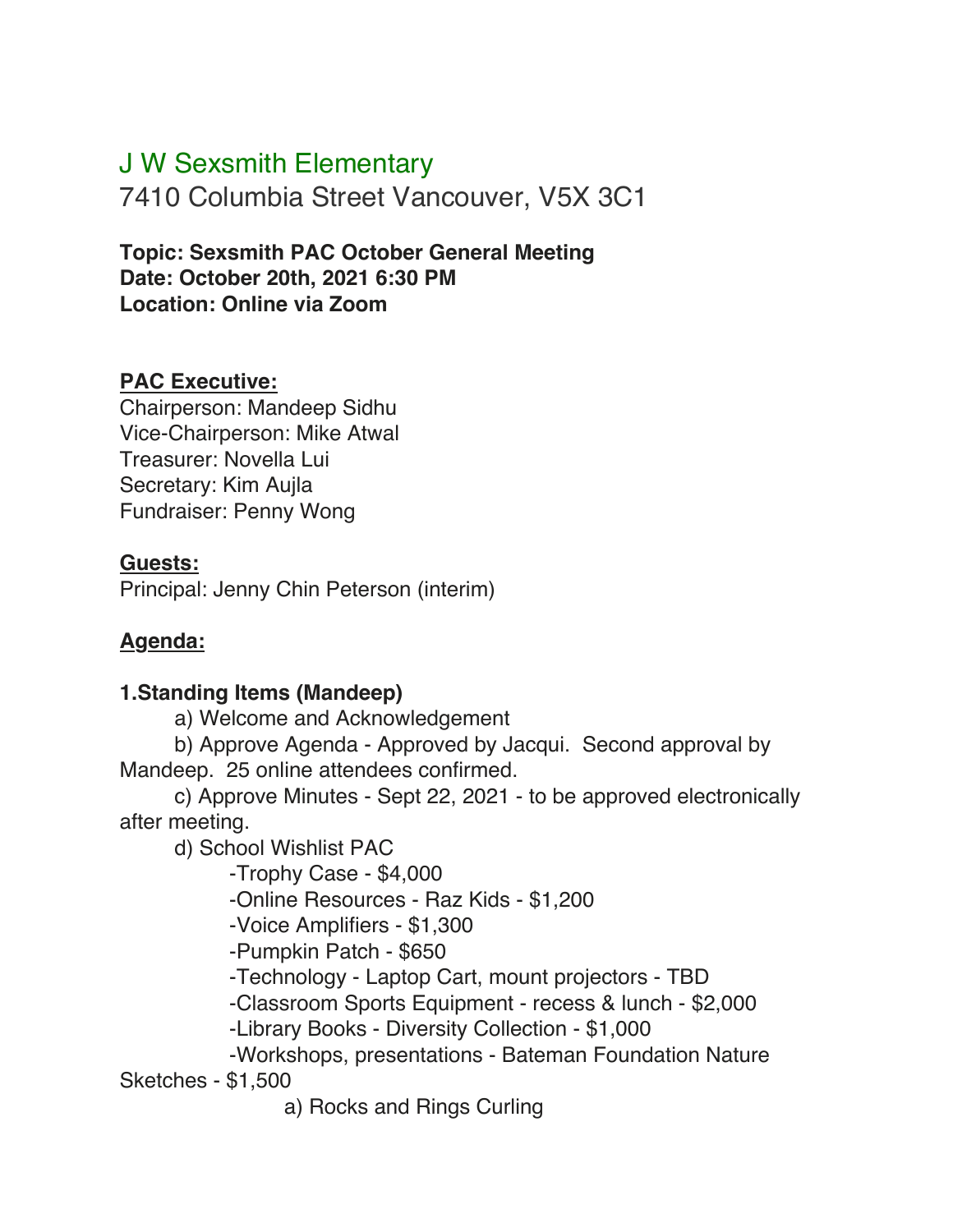# J W Sexsmith Elementary

7410 Columbia Street Vancouver, V5X 3C1

**Topic: Sexsmith PAC October General Meeting Date: October 20th, 2021 6:30 PM Location: Online via Zoom**

#### **PAC Executive:**

Chairperson: Mandeep Sidhu Vice-Chairperson: Mike Atwal Treasurer: Novella Lui Secretary: Kim Aujla Fundraiser: Penny Wong

#### **Guests:**

Principal: Jenny Chin Peterson (interim)

## **Agenda:**

#### **1.Standing Items (Mandeep)**

a) Welcome and Acknowledgement

b) Approve Agenda - Approved by Jacqui. Second approval by Mandeep. 25 online attendees confirmed.

c) Approve Minutes - Sept 22, 2021 - to be approved electronically after meeting.

d) School Wishlist PAC

-Trophy Case - \$4,000

-Online Resources - Raz Kids - \$1,200

-Voice Amplifiers - \$1,300

-Pumpkin Patch - \$650

-Technology - Laptop Cart, mount projectors - TBD

-Classroom Sports Equipment - recess & lunch - \$2,000

-Library Books - Diversity Collection - \$1,000

-Workshops, presentations - Bateman Foundation Nature

Sketches - \$1,500

a) Rocks and Rings Curling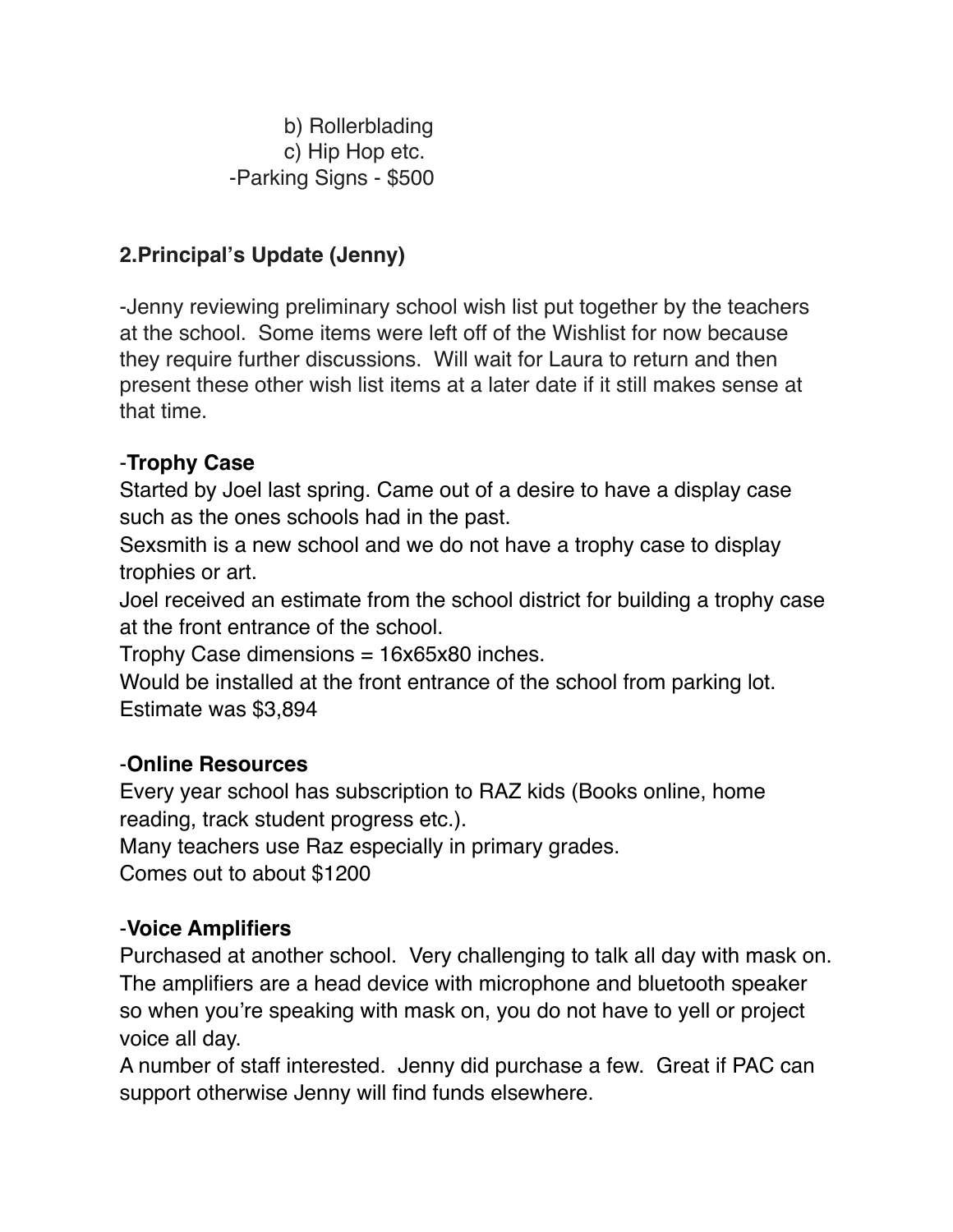b) Rollerblading c) Hip Hop etc. -Parking Signs - \$500

## **2.Principal's Update (Jenny)**

-Jenny reviewing preliminary school wish list put together by the teachers at the school. Some items were left off of the Wishlist for now because they require further discussions. Will wait for Laura to return and then present these other wish list items at a later date if it still makes sense at that time.

## -**Trophy Case**

Started by Joel last spring. Came out of a desire to have a display case such as the ones schools had in the past.

Sexsmith is a new school and we do not have a trophy case to display trophies or art.

Joel received an estimate from the school district for building a trophy case at the front entrance of the school.

Trophy Case dimensions = 16x65x80 inches.

Would be installed at the front entrance of the school from parking lot. Estimate was \$3,894

## -**Online Resources**

Every year school has subscription to RAZ kids (Books online, home reading, track student progress etc.).

Many teachers use Raz especially in primary grades. Comes out to about \$1200

#### -**Voice Amplifiers**

Purchased at another school. Very challenging to talk all day with mask on. The amplifiers are a head device with microphone and bluetooth speaker so when you're speaking with mask on, you do not have to yell or project voice all day.

A number of staff interested. Jenny did purchase a few. Great if PAC can support otherwise Jenny will find funds elsewhere.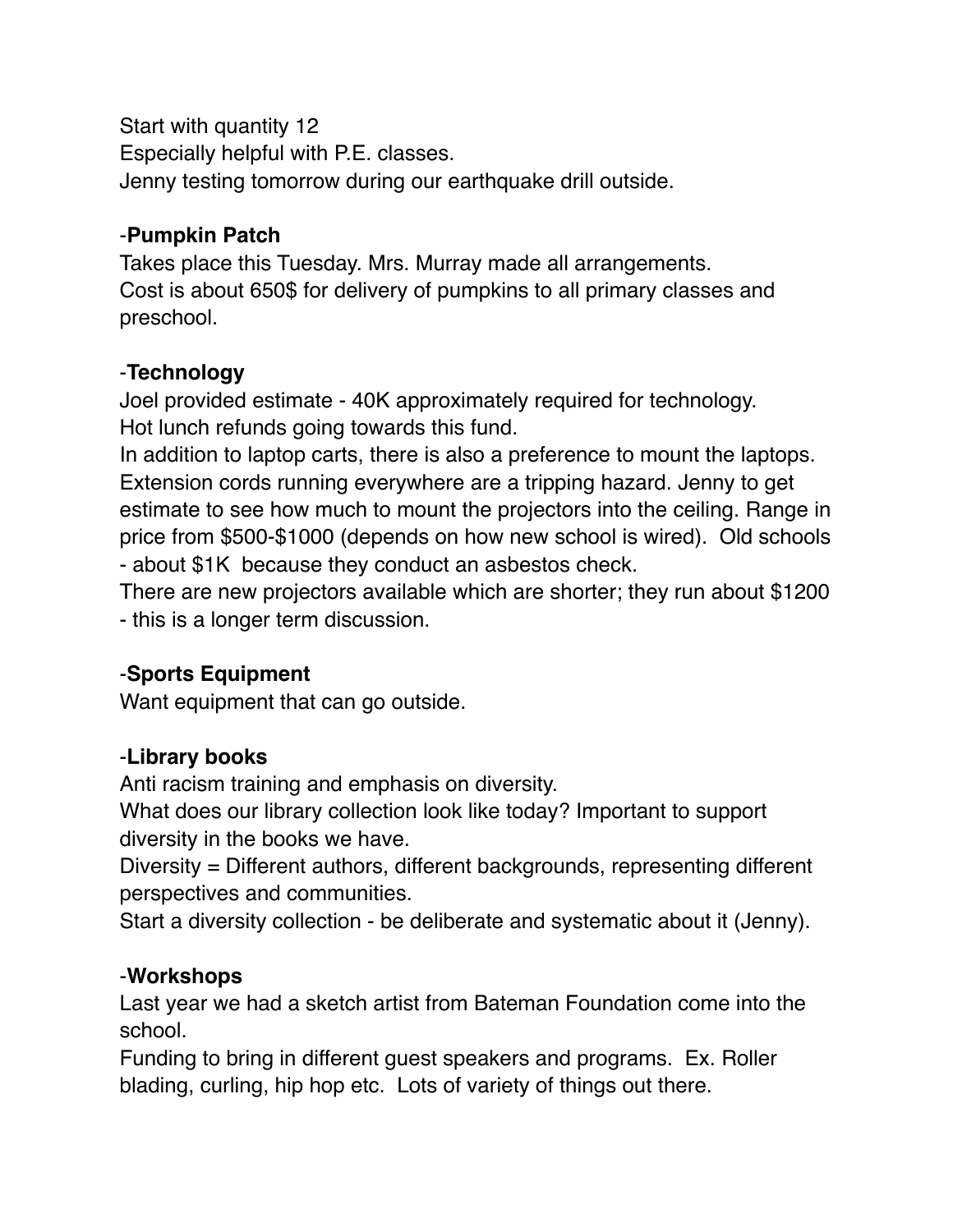Start with quantity 12 Especially helpful with P.E. classes. Jenny testing tomorrow during our earthquake drill outside.

## -**Pumpkin Patch**

Takes place this Tuesday. Mrs. Murray made all arrangements. Cost is about 650\$ for delivery of pumpkins to all primary classes and preschool.

## -**Technology**

Joel provided estimate - 40K approximately required for technology. Hot lunch refunds going towards this fund.

In addition to laptop carts, there is also a preference to mount the laptops. Extension cords running everywhere are a tripping hazard. Jenny to get estimate to see how much to mount the projectors into the ceiling. Range in price from \$500-\$1000 (depends on how new school is wired). Old schools - about \$1K because they conduct an asbestos check.

There are new projectors available which are shorter; they run about \$1200 - this is a longer term discussion.

## -**Sports Equipment**

Want equipment that can go outside.

## -**Library books**

Anti racism training and emphasis on diversity.

What does our library collection look like today? Important to support diversity in the books we have.

Diversity = Different authors, different backgrounds, representing different perspectives and communities.

Start a diversity collection - be deliberate and systematic about it (Jenny).

#### -**Workshops**

Last year we had a sketch artist from Bateman Foundation come into the school.

Funding to bring in different guest speakers and programs. Ex. Roller blading, curling, hip hop etc. Lots of variety of things out there.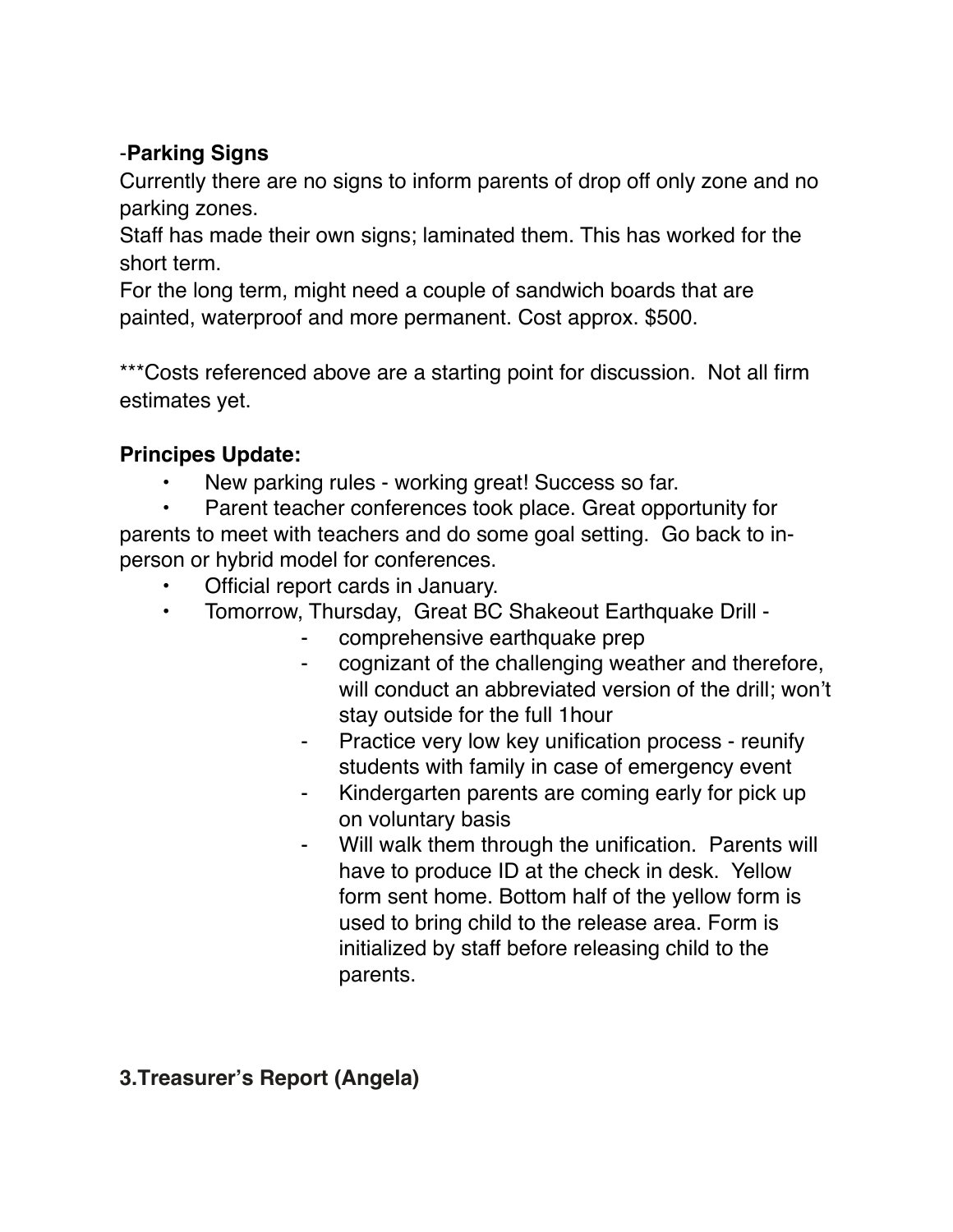## -**Parking Signs**

Currently there are no signs to inform parents of drop off only zone and no parking zones.

Staff has made their own signs; laminated them. This has worked for the short term.

For the long term, might need a couple of sandwich boards that are painted, waterproof and more permanent. Cost approx. \$500.

\*\*\*Costs referenced above are a starting point for discussion. Not all firm estimates yet.

# **Principes Update:**

• New parking rules - working great! Success so far.

Parent teacher conferences took place. Great opportunity for parents to meet with teachers and do some goal setting. Go back to inperson or hybrid model for conferences.

- Official report cards in January.
- Tomorrow, Thursday, Great BC Shakeout Earthquake Drill
	- comprehensive earthquake prep
	- ⁃ cognizant of the challenging weather and therefore, will conduct an abbreviated version of the drill; won't stay outside for the full 1hour
	- ⁃ Practice very low key unification process reunify students with family in case of emergency event
	- Kindergarten parents are coming early for pick up on voluntary basis
	- ⁃ Will walk them through the unification. Parents will have to produce ID at the check in desk. Yellow form sent home. Bottom half of the yellow form is used to bring child to the release area. Form is initialized by staff before releasing child to the parents.

# **3.Treasurer's Report (Angela)**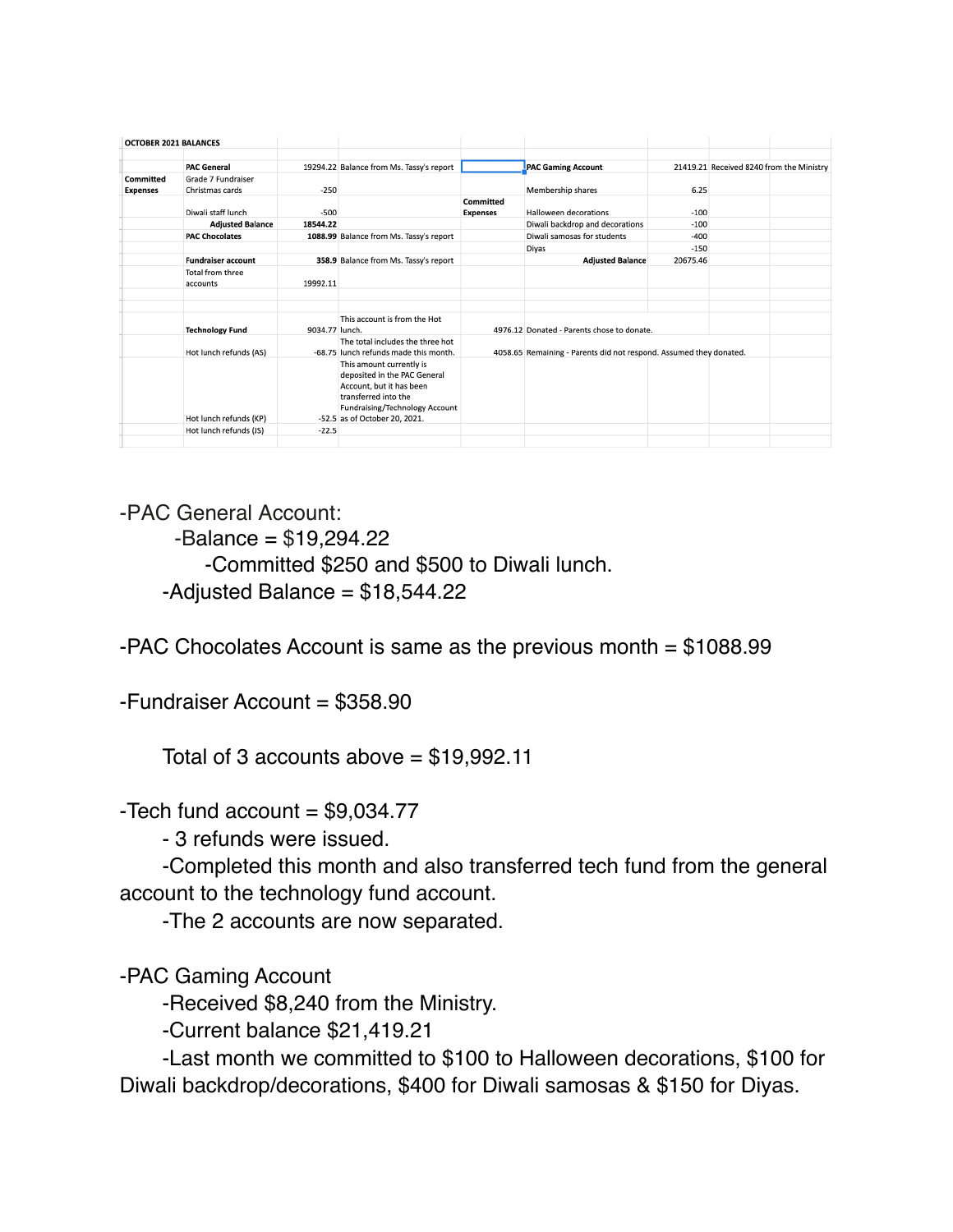| <b>OCTOBER 2021 BALANCES</b> |                                       |                |                                                                                                                                                                                 |                              |                                                                    |          |                                          |  |
|------------------------------|---------------------------------------|----------------|---------------------------------------------------------------------------------------------------------------------------------------------------------------------------------|------------------------------|--------------------------------------------------------------------|----------|------------------------------------------|--|
|                              | <b>PAC General</b>                    |                | 19294.22 Balance from Ms. Tassy's report                                                                                                                                        |                              | <b>PAC Gaming Account</b>                                          |          | 21419.21 Received 8240 from the Ministry |  |
| Committed<br><b>Expenses</b> | Grade 7 Fundraiser<br>Christmas cards | $-250$         |                                                                                                                                                                                 |                              | Membership shares                                                  | 6.25     |                                          |  |
|                              | Diwali staff lunch                    | $-500$         |                                                                                                                                                                                 | Committed<br><b>Expenses</b> | Halloween decorations                                              | $-100$   |                                          |  |
|                              | <b>Adjusted Balance</b>               | 18544.22       |                                                                                                                                                                                 |                              | Diwali backdrop and decorations                                    | $-100$   |                                          |  |
|                              | <b>PAC Chocolates</b>                 |                | 1088.99 Balance from Ms. Tassy's report                                                                                                                                         |                              | Diwali samosas for students                                        | $-400$   |                                          |  |
|                              |                                       |                |                                                                                                                                                                                 |                              | <b>Divas</b>                                                       | $-150$   |                                          |  |
|                              | <b>Fundraiser account</b>             |                | 358.9 Balance from Ms. Tassy's report                                                                                                                                           |                              | <b>Adjusted Balance</b>                                            | 20675.46 |                                          |  |
|                              | Total from three<br>accounts          | 19992.11       |                                                                                                                                                                                 |                              |                                                                    |          |                                          |  |
|                              |                                       |                |                                                                                                                                                                                 |                              |                                                                    |          |                                          |  |
|                              | <b>Technology Fund</b>                | 9034.77 lunch. | This account is from the Hot                                                                                                                                                    |                              | 4976.12 Donated - Parents chose to donate.                         |          |                                          |  |
|                              | Hot lunch refunds (AS)                |                | The total includes the three hot<br>-68.75 lunch refunds made this month.                                                                                                       |                              | 4058.65 Remaining - Parents did not respond. Assumed they donated. |          |                                          |  |
|                              | Hot lunch refunds (KP)                |                | This amount currently is<br>deposited in the PAC General<br>Account, but it has been<br>transferred into the<br>Fundraising/Technology Account<br>-52.5 as of October 20, 2021. |                              |                                                                    |          |                                          |  |
|                              | Hot lunch refunds (JS)                | $-22.5$        |                                                                                                                                                                                 |                              |                                                                    |          |                                          |  |
|                              |                                       |                |                                                                                                                                                                                 |                              |                                                                    |          |                                          |  |

-PAC General Account:

 $-Balance = $19,294.22$ 

-Committed \$250 and \$500 to Diwali lunch.

 $-$ Adjusted Balance = \$18,544.22

-PAC Chocolates Account is same as the previous month = \$1088.99

-Fundraiser Account = \$358.90

Total of 3 accounts above  $= $19,992.11$ 

-Tech fund account  $= $9,034.77$ 

- 3 refunds were issued.

-Completed this month and also transferred tech fund from the general account to the technology fund account.

-The 2 accounts are now separated.

-PAC Gaming Account

-Received \$8,240 from the Ministry.

-Current balance \$21,419.21

-Last month we committed to \$100 to Halloween decorations, \$100 for Diwali backdrop/decorations, \$400 for Diwali samosas & \$150 for Diyas.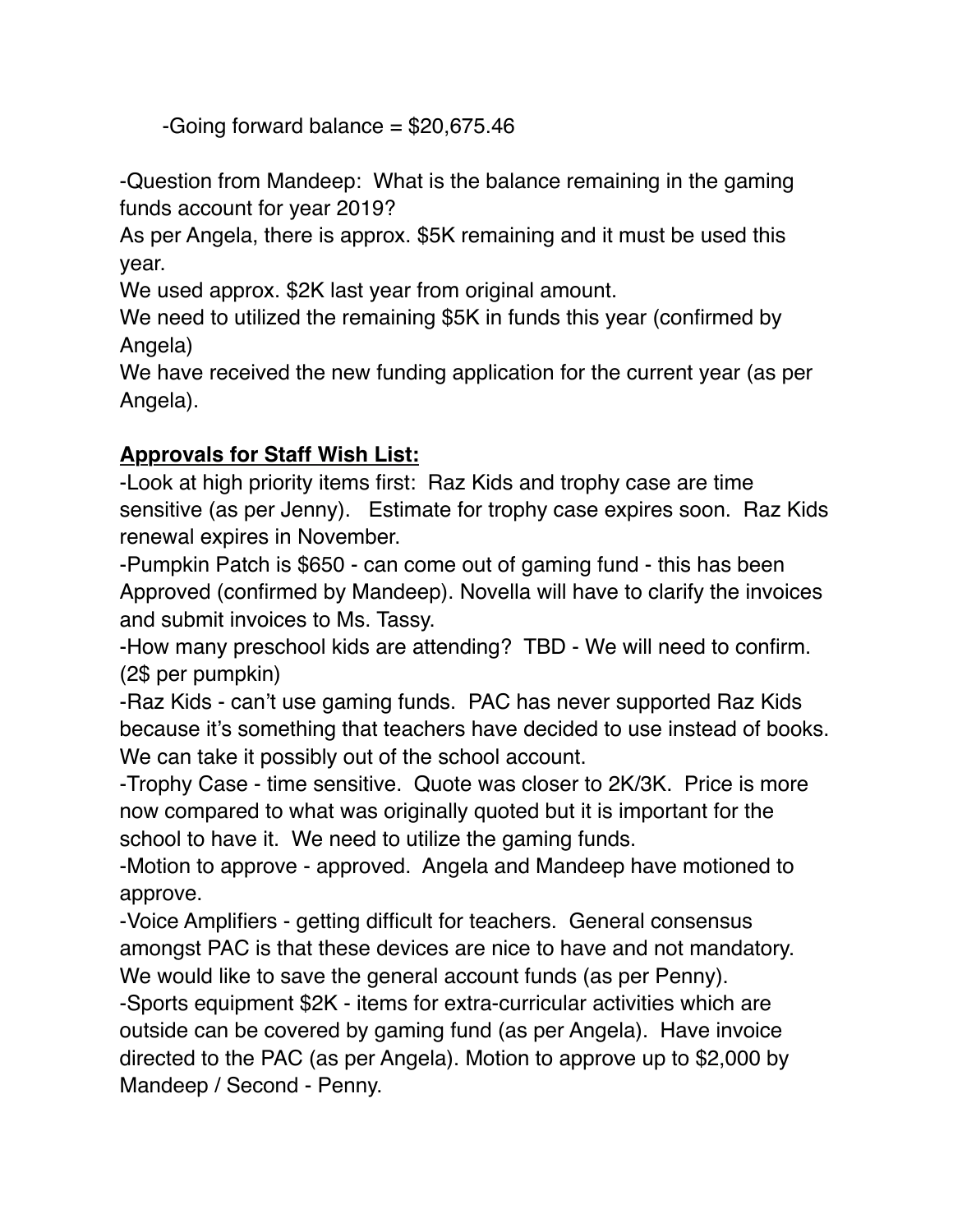-Going forward balance  $= $20,675.46$ 

-Question from Mandeep: What is the balance remaining in the gaming funds account for year 2019?

As per Angela, there is approx. \$5K remaining and it must be used this year.

We used approx. \$2K last year from original amount.

We need to utilized the remaining \$5K in funds this year (confirmed by Angela)

We have received the new funding application for the current year (as per Angela).

# **Approvals for Staff Wish List:**

-Look at high priority items first: Raz Kids and trophy case are time sensitive (as per Jenny). Estimate for trophy case expires soon. Raz Kids renewal expires in November.

-Pumpkin Patch is \$650 - can come out of gaming fund - this has been Approved (confirmed by Mandeep). Novella will have to clarify the invoices and submit invoices to Ms. Tassy.

-How many preschool kids are attending? TBD - We will need to confirm. (2\$ per pumpkin)

-Raz Kids - can't use gaming funds. PAC has never supported Raz Kids because it's something that teachers have decided to use instead of books. We can take it possibly out of the school account.

-Trophy Case - time sensitive. Quote was closer to 2K/3K. Price is more now compared to what was originally quoted but it is important for the school to have it. We need to utilize the gaming funds.

-Motion to approve - approved. Angela and Mandeep have motioned to approve.

-Voice Amplifiers - getting difficult for teachers. General consensus amongst PAC is that these devices are nice to have and not mandatory. We would like to save the general account funds (as per Penny).

-Sports equipment \$2K - items for extra-curricular activities which are outside can be covered by gaming fund (as per Angela). Have invoice directed to the PAC (as per Angela). Motion to approve up to \$2,000 by Mandeep / Second - Penny.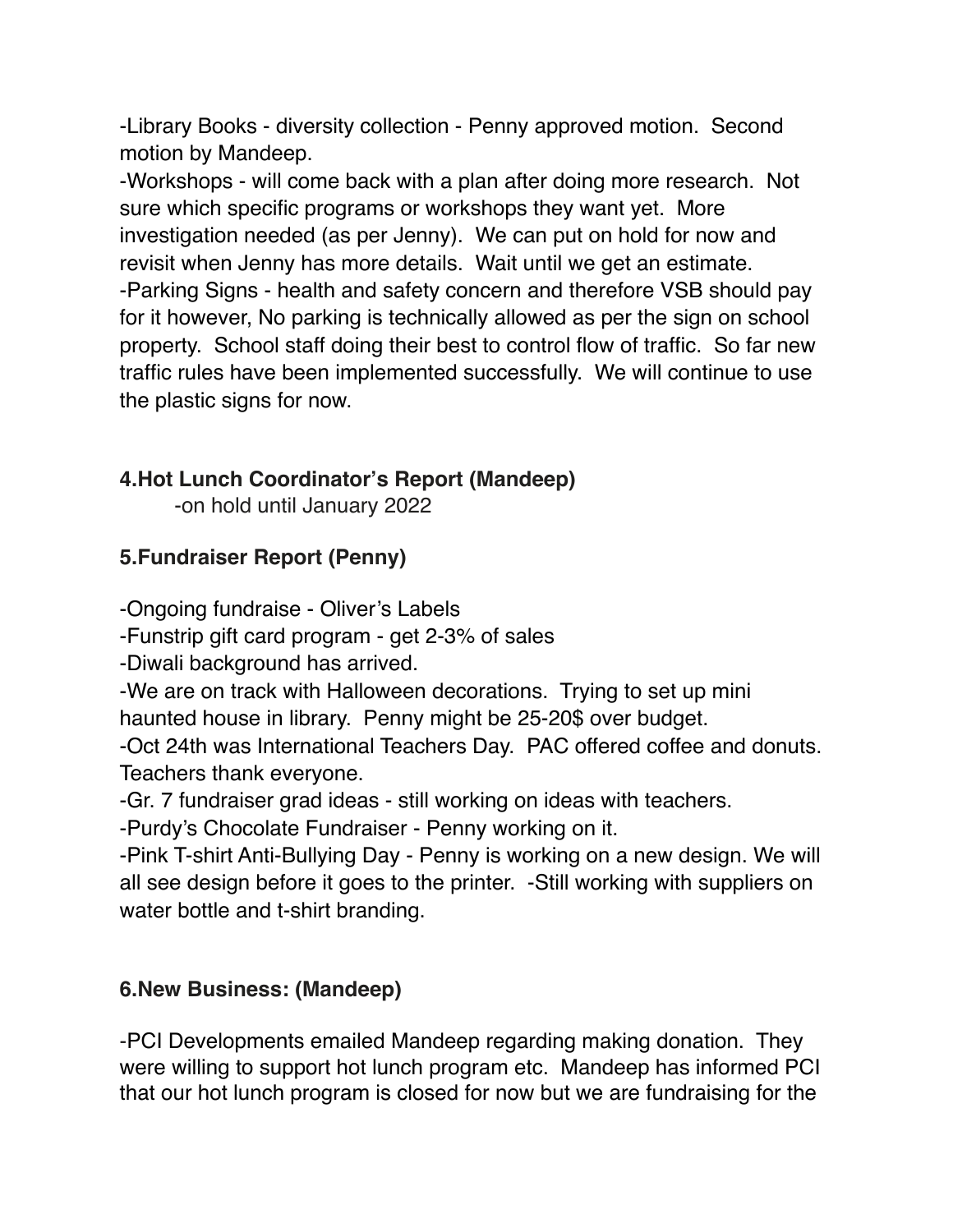-Library Books - diversity collection - Penny approved motion. Second motion by Mandeep.

-Workshops - will come back with a plan after doing more research. Not sure which specific programs or workshops they want yet. More investigation needed (as per Jenny). We can put on hold for now and revisit when Jenny has more details. Wait until we get an estimate. -Parking Signs - health and safety concern and therefore VSB should pay for it however, No parking is technically allowed as per the sign on school property. School staff doing their best to control flow of traffic. So far new traffic rules have been implemented successfully. We will continue to use the plastic signs for now.

## **4.Hot Lunch Coordinator's Report (Mandeep)**

-on hold until January 2022

# **5.Fundraiser Report (Penny)**

-Ongoing fundraise - Oliver's Labels

-Funstrip gift card program - get 2-3% of sales

-Diwali background has arrived.

-We are on track with Halloween decorations. Trying to set up mini haunted house in library. Penny might be 25-20\$ over budget.

-Oct 24th was International Teachers Day. PAC offered coffee and donuts. Teachers thank everyone.

-Gr. 7 fundraiser grad ideas - still working on ideas with teachers.

-Purdy's Chocolate Fundraiser - Penny working on it.

-Pink T-shirt Anti-Bullying Day - Penny is working on a new design. We will all see design before it goes to the printer. -Still working with suppliers on water bottle and t-shirt branding.

## **6.New Business: (Mandeep)**

-PCI Developments emailed Mandeep regarding making donation. They were willing to support hot lunch program etc. Mandeep has informed PCI that our hot lunch program is closed for now but we are fundraising for the